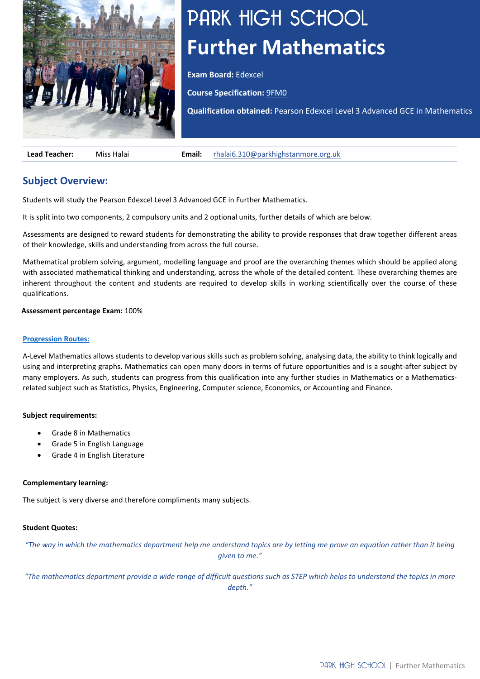

# PARK HIGH SCHOOL **Further Mathematics**

**Exam Board:** Edexcel

**Course Specification:** [9FM0](https://qualifications.pearson.com/content/dam/pdf/A%20Level/Mathematics/2017/specification-and-sample-assesment/a-level-l3-mathematics-specification-issue4.pdf)

**Qualification obtained:** Pearson Edexcel Level 3 Advanced GCE in Mathematics

**Lead Teacher:** Miss Halai **Email:** [rhalai6.310@parkhighstanmore.org.uk](mailto:rhalai6.310@parkhighstanmore.org.uk)

# **Subject Overview:**

Students will study the Pearson Edexcel Level 3 Advanced GCE in Further Mathematics.

It is split into two components, 2 compulsory units and 2 optional units, further details of which are below.

Assessments are designed to reward students for demonstrating the ability to provide responses that draw together different areas of their knowledge, skills and understanding from across the full course.

Mathematical problem solving, argument, modelling language and proof are the overarching themes which should be applied along with associated mathematical thinking and understanding, across the whole of the detailed content. These overarching themes are inherent throughout the content and students are required to develop skills in working scientifically over the course of these qualifications.

#### **Assessment percentage Exam:** 100%

#### **[Progression Routes:](https://www.parkhighstanmore.org.uk/careersandemploaybility/studentresources)**

A-Level Mathematics allows students to develop various skills such as problem solving, analysing data, the ability to think logically and using and interpreting graphs. Mathematics can open many doors in terms of future opportunities and is a sought-after subject by many employers. As such, students can progress from this qualification into any further studies in Mathematics or a Mathematicsrelated subject such as Statistics, Physics, Engineering, Computer science, Economics, or Accounting and Finance.

## **Subject requirements:**

- Grade 8 in Mathematics
- Grade 5 in English Language
- Grade 4 in English Literature

#### **Complementary learning:**

The subject is very diverse and therefore compliments many subjects.

#### **Student Quotes:**

*"The way in which the mathematics department help me understand topics are by letting me prove an equation rather than it being given to me."*

*"The mathematics department provide a wide range of difficult questions such as STEP which helps to understand the topics in more depth."*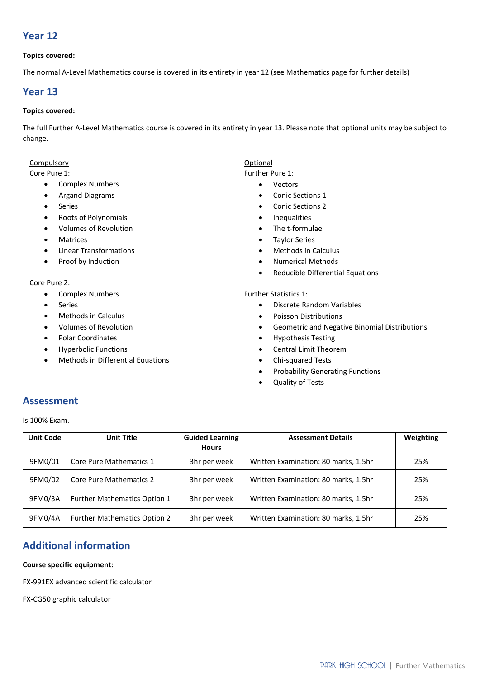# **Year 12**

## **Topics covered:**

The normal A-Level Mathematics course is covered in its entirety in year 12 (see Mathematics page for further details)

# **Year 13**

# **Topics covered:**

The full Further A-Level Mathematics course is covered in its entirety in year 13. Please note that optional units may be subject to change.

#### Compulsory

#### Core Pure 1:

- Complex Numbers
- Argand Diagrams
- Series
- Roots of Polynomials
- Volumes of Revolution
- **Matrices**
- Linear Transformations
- Proof by Induction

## Core Pure 2:

- Complex Numbers
- **Series**
- Methods in Calculus
- Volumes of Revolution
- Polar Coordinates
- Hyperbolic Functions
- Methods in Differential Equations

## Optional

# Further Pure 1:

#### • Vectors

- Conic Sections 1
- Conic Sections 2
- Inequalities
- The t-formulae
- Taylor Series
- Methods in Calculus
- Numerical Methods
- Reducible Differential Equations

#### Further Statistics 1:

- Discrete Random Variables
- Poisson Distributions
- Geometric and Negative Binomial Distributions
- Hypothesis Testing
- Central Limit Theorem
- Chi-squared Tests
- Probability Generating Functions
- Quality of Tests

# **Assessment**

Is 100% Exam.

| <b>Unit Code</b> | <b>Unit Title</b>                   | <b>Guided Learning</b> | <b>Assessment Details</b>            | Weighting |
|------------------|-------------------------------------|------------------------|--------------------------------------|-----------|
|                  |                                     | <b>Hours</b>           |                                      |           |
| 9FM0/01          | Core Pure Mathematics 1             | 3hr per week           | Written Examination: 80 marks, 1.5hr | 25%       |
| 9FM0/02          | <b>Core Pure Mathematics 2</b>      | 3hr per week           | Written Examination: 80 marks, 1.5hr | 25%       |
| 9FM0/3A          | Further Mathematics Option 1        | 3hr per week           | Written Examination: 80 marks, 1.5hr | 25%       |
| 9FM0/4A          | <b>Further Mathematics Option 2</b> | 3hr per week           | Written Examination: 80 marks, 1.5hr | 25%       |

# **Additional information**

#### **Course specific equipment:**

FX-991EX advanced scientific calculator

FX-CG50 graphic calculator